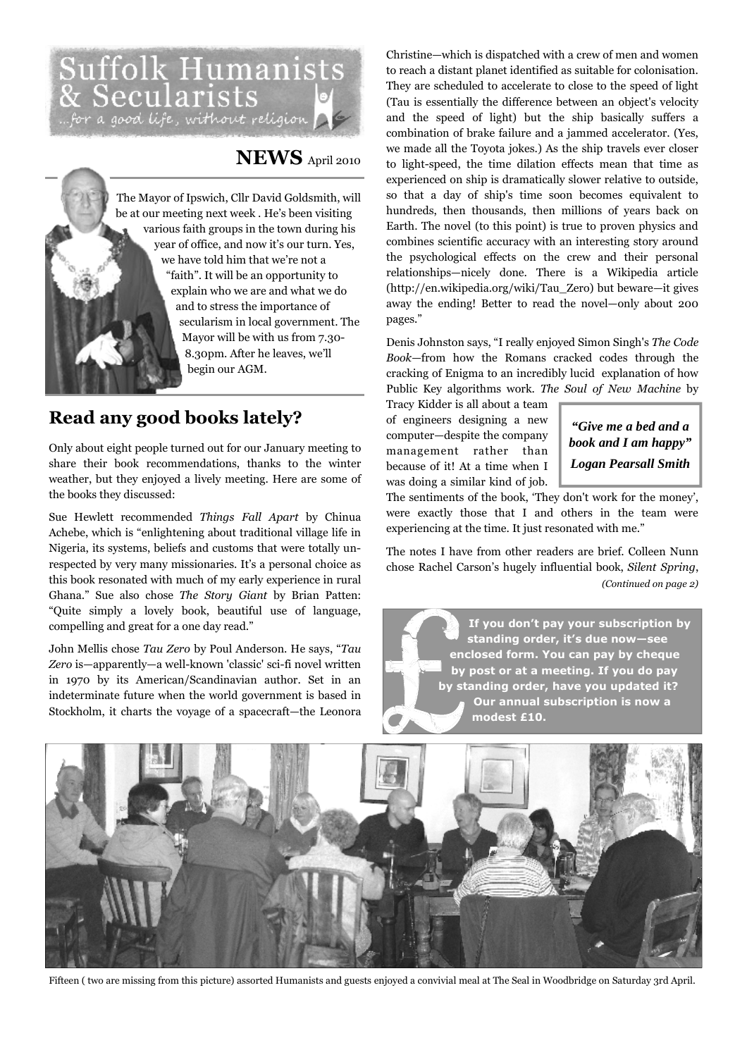# Suffolk Humanists<br>& Secularists<br>"for a good life, without religion **A**

# **NEWS** April 2010

The Mayor of Ipswich, Cllr David Goldsmith, will be at our meeting next week . He's been visiting various faith groups in the town during his year of office, and now it's our turn. Yes, we have told him that we're not a "faith". It will be an opportunity to explain who we are and what we do and to stress the importance of secularism in local government. The Mayor will be with us from 7.30- 8.30pm. After he leaves, we'll begin our AGM.

# **Read any good books lately?**

Only about eight people turned out for our January meeting to share their book recommendations, thanks to the winter weather, but they enjoyed a lively meeting. Here are some of the books they discussed:

Sue Hewlett recommended *Things Fall Apart* by Chinua Achebe, which is "enlightening about traditional village life in Nigeria, its systems, beliefs and customs that were totally unrespected by very many missionaries. It's a personal choice as this book resonated with much of my early experience in rural Ghana." Sue also chose *The Story Giant* by Brian Patten: "Quite simply a lovely book, beautiful use of language, compelling and great for a one day read."

John Mellis chose *Tau Zero* by Poul Anderson. He says, "*Tau Zero* is—apparently—a well-known 'classic' sci-fi novel written in 1970 by its American/Scandinavian author. Set in an indeterminate future when the world government is based in Stockholm, it charts the voyage of a spacecraft—the Leonora

Christine—which is dispatched with a crew of men and women to reach a distant planet identified as suitable for colonisation. They are scheduled to accelerate to close to the speed of light (Tau is essentially the difference between an object's velocity and the speed of light) but the ship basically suffers a combination of brake failure and a jammed accelerator. (Yes, we made all the Toyota jokes.) As the ship travels ever closer to light-speed, the time dilation effects mean that time as experienced on ship is dramatically slower relative to outside, so that a day of ship's time soon becomes equivalent to hundreds, then thousands, then millions of years back on Earth. The novel (to this point) is true to proven physics and combines scientific accuracy with an interesting story around the psychological effects on the crew and their personal relationships—nicely done. There is a Wikipedia article (http://en.wikipedia.org/wiki/Tau\_Zero) but beware—it gives away the ending! Better to read the novel—only about 200 pages."

Denis Johnston says, "I really enjoyed Simon Singh's *The Code Book*—from how the Romans cracked codes through the cracking of Enigma to an incredibly lucid explanation of how Public Key algorithms work. *The Soul of New Machine* by

Tracy Kidder is all about a team of engineers designing a new computer—despite the company management rather than because of it! At a time when I was doing a similar kind of job.

*"Give me a bed and a book and I am happy" Logan Pearsall Smith* 

The sentiments of the book, 'They don't work for the money', were exactly those that I and others in the team were experiencing at the time. It just resonated with me."

The notes I have from other readers are brief. Colleen Nunn chose Rachel Carson's hugely influential book, *Silent Spring*, *(Continued on page 2)* 

**If you don't pay your subscription by standing order, it's due now—see enclosed form. You can pay by cheque by post or at a meeting. If you do pay by standing order, have you updated it? Our annual subscription is now a modest £10.** 



Fifteen ( two are missing from this picture) assorted Humanists and guests enjoyed a convivial meal at The Seal in Woodbridge on Saturday 3rd April.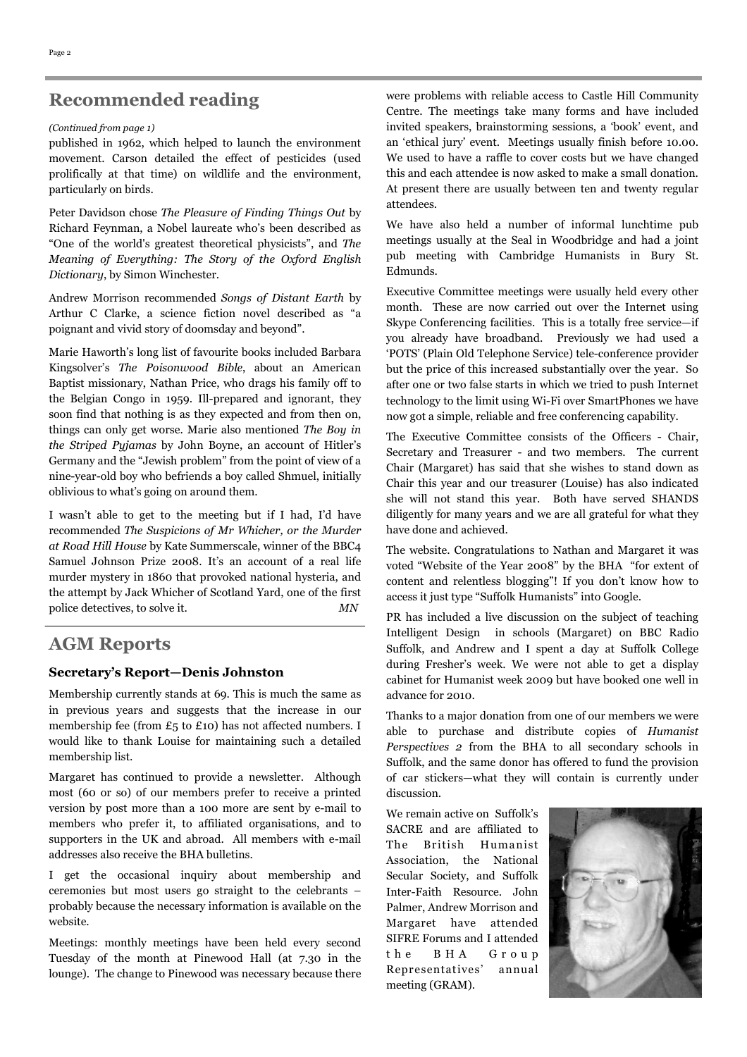# **Recommended reading**

#### *(Continued from page 1)*

published in 1962, which helped to launch the environment movement. Carson detailed the effect of pesticides (used prolifically at that time) on wildlife and the environment, particularly on birds.

Peter Davidson chose *The Pleasure of Finding Things Out* by Richard Feynman, a Nobel laureate who's been described as "One of the world's greatest theoretical physicists", and *The Meaning of Everything: The Story of the Oxford English Dictionary*, by Simon Winchester.

Andrew Morrison recommended *Songs of Distant Earth* by Arthur C Clarke, a science fiction novel described as "a poignant and vivid story of doomsday and beyond".

Marie Haworth's long list of favourite books included Barbara Kingsolver's *The Poisonwood Bible*, about an American Baptist missionary, Nathan Price, who drags his family off to the Belgian Congo in 1959. Ill-prepared and ignorant, they soon find that nothing is as they expected and from then on, things can only get worse. Marie also mentioned *The Boy in the Striped Pyjamas* by John Boyne, an account of Hitler's Germany and the "Jewish problem" from the point of view of a nine-year-old boy who befriends a boy called Shmuel, initially oblivious to what's going on around them.

I wasn't able to get to the meeting but if I had, I'd have recommended *The Suspicions of Mr Whicher, or the Murder at Road Hill House* by Kate Summerscale, winner of the BBC4 Samuel Johnson Prize 2008. It's an account of a real life murder mystery in 1860 that provoked national hysteria, and the attempt by Jack Whicher of Scotland Yard, one of the first police detectives, to solve it. *MN* 

# **AGM Reports**

#### **Secretary's Report—Denis Johnston**

Membership currently stands at 69. This is much the same as in previous years and suggests that the increase in our membership fee (from £5 to £10) has not affected numbers. I would like to thank Louise for maintaining such a detailed membership list.

Margaret has continued to provide a newsletter. Although most (60 or so) of our members prefer to receive a printed version by post more than a 100 more are sent by e-mail to members who prefer it, to affiliated organisations, and to supporters in the UK and abroad. All members with e-mail addresses also receive the BHA bulletins.

I get the occasional inquiry about membership and ceremonies but most users go straight to the celebrants – probably because the necessary information is available on the website.

Meetings: monthly meetings have been held every second Tuesday of the month at Pinewood Hall (at 7.30 in the lounge). The change to Pinewood was necessary because there were problems with reliable access to Castle Hill Community Centre. The meetings take many forms and have included invited speakers, brainstorming sessions, a 'book' event, and an 'ethical jury' event. Meetings usually finish before 10.00. We used to have a raffle to cover costs but we have changed this and each attendee is now asked to make a small donation. At present there are usually between ten and twenty regular attendees.

We have also held a number of informal lunchtime pub meetings usually at the Seal in Woodbridge and had a joint pub meeting with Cambridge Humanists in Bury St. Edmunds.

Executive Committee meetings were usually held every other month. These are now carried out over the Internet using Skype Conferencing facilities. This is a totally free service—if you already have broadband. Previously we had used a 'POTS' (Plain Old Telephone Service) tele-conference provider but the price of this increased substantially over the year. So after one or two false starts in which we tried to push Internet technology to the limit using Wi-Fi over SmartPhones we have now got a simple, reliable and free conferencing capability.

The Executive Committee consists of the Officers - Chair, Secretary and Treasurer - and two members. The current Chair (Margaret) has said that she wishes to stand down as Chair this year and our treasurer (Louise) has also indicated she will not stand this year. Both have served SHANDS diligently for many years and we are all grateful for what they have done and achieved.

The website. Congratulations to Nathan and Margaret it was voted "Website of the Year 2008" by the BHA "for extent of content and relentless blogging"! If you don't know how to access it just type "Suffolk Humanists" into Google.

PR has included a live discussion on the subject of teaching Intelligent Design in schools (Margaret) on BBC Radio Suffolk, and Andrew and I spent a day at Suffolk College during Fresher's week. We were not able to get a display cabinet for Humanist week 2009 but have booked one well in advance for 2010.

Thanks to a major donation from one of our members we were able to purchase and distribute copies of *Humanist Perspectives 2* from the BHA to all secondary schools in Suffolk, and the same donor has offered to fund the provision of car stickers—what they will contain is currently under discussion.

We remain active on Suffolk's SACRE and are affiliated to The British Humanist Association, the National Secular Society, and Suffolk Inter-Faith Resource. John Palmer, Andrew Morrison and Margaret have attended SIFRE Forums and I attended t h e B H A G r o u p Representatives' annual meeting (GRAM).

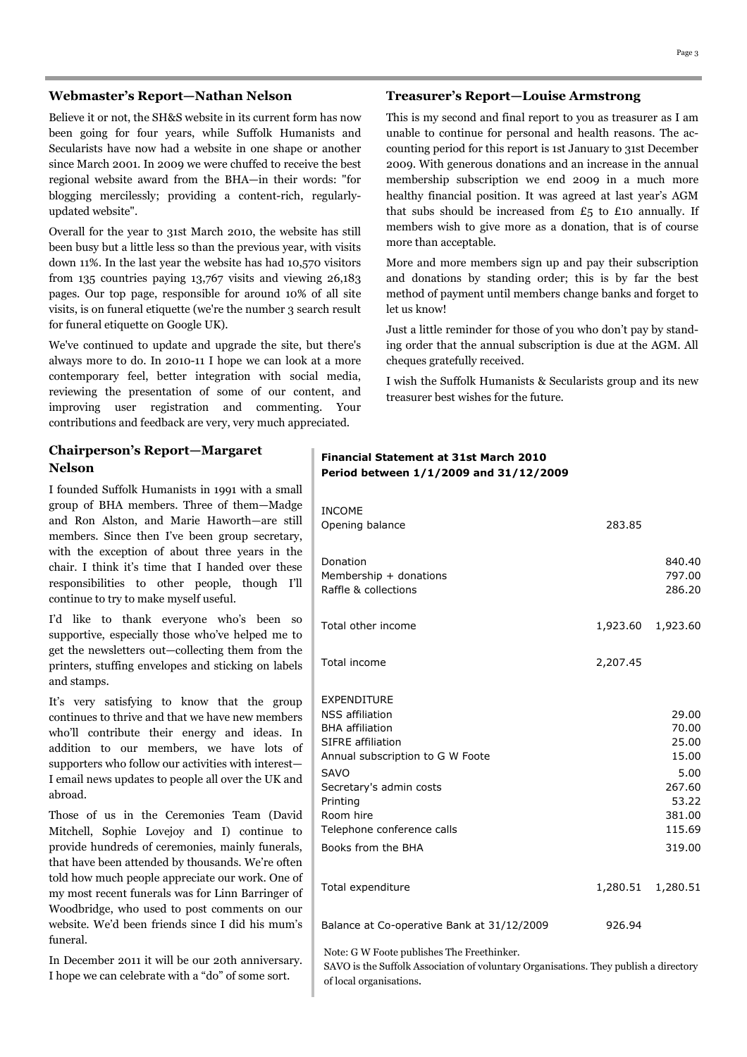#### **Webmaster's Report—Nathan Nelson**

Believe it or not, the SH&S website in its current form has now been going for four years, while Suffolk Humanists and Secularists have now had a website in one shape or another since March 2001. In 2009 we were chuffed to receive the best regional website award from the BHA—in their words: "for blogging mercilessly; providing a content-rich, regularlyupdated website".

Overall for the year to 31st March 2010, the website has still been busy but a little less so than the previous year, with visits down 11%. In the last year the website has had 10,570 visitors from 135 countries paying 13,767 visits and viewing 26,183 pages. Our top page, responsible for around 10% of all site visits, is on funeral etiquette (we're the number 3 search result for funeral etiquette on Google UK).

We've continued to update and upgrade the site, but there's always more to do. In 2010-11 I hope we can look at a more contemporary feel, better integration with social media, reviewing the presentation of some of our content, and improving user registration and commenting. Your contributions and feedback are very, very much appreciated.

#### **Chairperson's Report—Margaret Nelson**

I founded Suffolk Humanists in 1991 with a small group of BHA members. Three of them—Madge and Ron Alston, and Marie Haworth—are still members. Since then I've been group secretary, with the exception of about three years in the chair. I think it's time that I handed over these responsibilities to other people, though I'll continue to try to make myself useful.

I'd like to thank everyone who's been so supportive, especially those who've helped me to get the newsletters out—collecting them from the printers, stuffing envelopes and sticking on labels and stamps.

It's very satisfying to know that the group continues to thrive and that we have new members who'll contribute their energy and ideas. In addition to our members, we have lots of supporters who follow our activities with interest— I email news updates to people all over the UK and abroad.

Those of us in the Ceremonies Team (David Mitchell, Sophie Lovejoy and I) continue to provide hundreds of ceremonies, mainly funerals, that have been attended by thousands. We're often told how much people appreciate our work. One of my most recent funerals was for Linn Barringer of Woodbridge, who used to post comments on our website. We'd been friends since I did his mum's funeral.

In December 2011 it will be our 20th anniversary. I hope we can celebrate with a "do" of some sort.

#### **Treasurer's Report—Louise Armstrong**

This is my second and final report to you as treasurer as I am unable to continue for personal and health reasons. The accounting period for this report is 1st January to 31st December 2009. With generous donations and an increase in the annual membership subscription we end 2009 in a much more healthy financial position. It was agreed at last year's AGM that subs should be increased from  $E_5$  to £10 annually. If members wish to give more as a donation, that is of course more than acceptable.

More and more members sign up and pay their subscription and donations by standing order; this is by far the best method of payment until members change banks and forget to let us know!

Just a little reminder for those of you who don't pay by standing order that the annual subscription is due at the AGM. All cheques gratefully received.

I wish the Suffolk Humanists & Secularists group and its new treasurer best wishes for the future.

#### **Financial Statement at 31st March 2010 Period between 1/1/2009 and 31/12/2009**

| <b>INCOME</b><br>Opening balance                                                                                                                                                                                                                              | 283.85   |                                                                                           |
|---------------------------------------------------------------------------------------------------------------------------------------------------------------------------------------------------------------------------------------------------------------|----------|-------------------------------------------------------------------------------------------|
| Donation<br>Membership + donations<br>Raffle & collections                                                                                                                                                                                                    |          | 840.40<br>797.00<br>286.20                                                                |
| Total other income                                                                                                                                                                                                                                            |          | 1,923.60 1,923.60                                                                         |
| Total income                                                                                                                                                                                                                                                  | 2,207.45 |                                                                                           |
| <b>EXPENDITURE</b><br><b>NSS</b> affiliation<br><b>BHA</b> affiliation<br><b>SIFRE</b> affiliation<br>Annual subscription to G W Foote<br><b>SAVO</b><br>Secretary's admin costs<br>Printing<br>Room hire<br>Telephone conference calls<br>Books from the BHA |          | 29.00<br>70.00<br>25.00<br>15.00<br>5.00<br>267.60<br>53.22<br>381.00<br>115.69<br>319.00 |
| Total expenditure                                                                                                                                                                                                                                             | 1,280.51 | 1,280.51                                                                                  |
| Balance at Co-operative Bank at 31/12/2009                                                                                                                                                                                                                    | 926.94   |                                                                                           |

Note: G W Foote publishes The Freethinker.

SAVO is the Suffolk Association of voluntary Organisations. They publish a directory of local organisations.